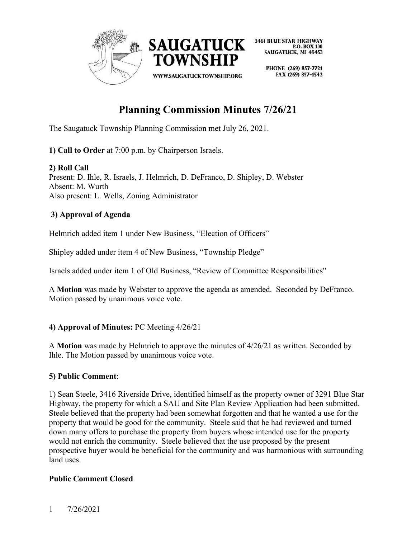

> PHONE (269) 857-7721 FAX (269) 857-4542

# **Planning Commission Minutes 7/26/21**

The Saugatuck Township Planning Commission met July 26, 2021.

**1) Call to Order** at 7:00 p.m. by Chairperson Israels.

# **2) Roll Call**

Present: D. Ihle, R. Israels, J. Helmrich, D. DeFranco, D. Shipley, D. Webster Absent: M. Wurth Also present: L. Wells, Zoning Administrator

# **3) Approval of Agenda**

Helmrich added item 1 under New Business, "Election of Officers"

Shipley added under item 4 of New Business, "Township Pledge"

Israels added under item 1 of Old Business, "Review of Committee Responsibilities"

A **Motion** was made by Webster to approve the agenda as amended. Seconded by DeFranco. Motion passed by unanimous voice vote.

# **4) Approval of Minutes:** PC Meeting 4/26/21

A **Motion** was made by Helmrich to approve the minutes of 4/26/21 as written. Seconded by Ihle. The Motion passed by unanimous voice vote.

# **5) Public Comment**:

1) Sean Steele, 3416 Riverside Drive, identified himself as the property owner of 3291 Blue Star Highway, the property for which a SAU and Site Plan Review Application had been submitted. Steele believed that the property had been somewhat forgotten and that he wanted a use for the property that would be good for the community. Steele said that he had reviewed and turned down many offers to purchase the property from buyers whose intended use for the property would not enrich the community. Steele believed that the use proposed by the present prospective buyer would be beneficial for the community and was harmonious with surrounding land uses.

# **Public Comment Closed**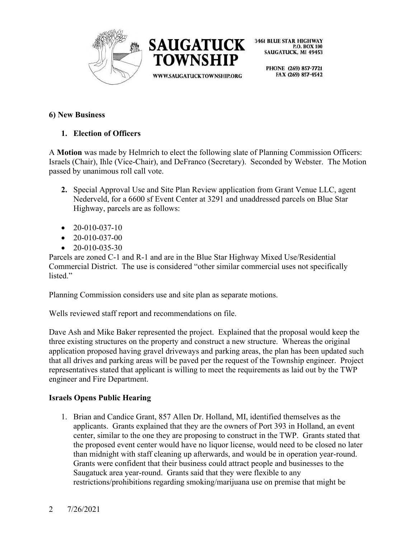



> PHONE (269) 857-7721 FAX (269) 857-4542

### **6) New Business**

# **1. Election of Officers**

A **Motion** was made by Helmrich to elect the following slate of Planning Commission Officers: Israels (Chair), Ihle (Vice-Chair), and DeFranco (Secretary). Seconded by Webster. The Motion passed by unanimous roll call vote.

- **2.** Special Approval Use and Site Plan Review application from Grant Venue LLC, agent Nederveld, for a 6600 sf Event Center at 3291 and unaddressed parcels on Blue Star Highway, parcels are as follows:
- $\bullet$  20-010-037-10
- $\bullet$  20-010-037-00
- $\bullet$  20-010-035-30

Parcels are zoned C-1 and R-1 and are in the Blue Star Highway Mixed Use/Residential Commercial District. The use is considered "other similar commercial uses not specifically listed."

Planning Commission considers use and site plan as separate motions.

Wells reviewed staff report and recommendations on file.

Dave Ash and Mike Baker represented the project. Explained that the proposal would keep the three existing structures on the property and construct a new structure. Whereas the original application proposed having gravel driveways and parking areas, the plan has been updated such that all drives and parking areas will be paved per the request of the Township engineer. Project representatives stated that applicant is willing to meet the requirements as laid out by the TWP engineer and Fire Department.

# **Israels Opens Public Hearing**

1. Brian and Candice Grant, 857 Allen Dr. Holland, MI, identified themselves as the applicants. Grants explained that they are the owners of Port 393 in Holland, an event center, similar to the one they are proposing to construct in the TWP. Grants stated that the proposed event center would have no liquor license, would need to be closed no later than midnight with staff cleaning up afterwards, and would be in operation year-round. Grants were confident that their business could attract people and businesses to the Saugatuck area year-round. Grants said that they were flexible to any restrictions/prohibitions regarding smoking/marijuana use on premise that might be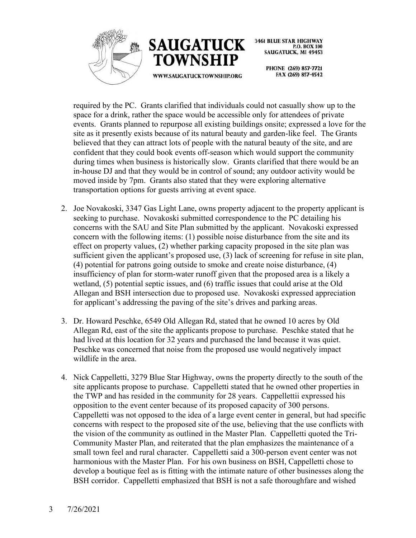



> PHONE (269) 857-7721 FAX (269) 857-4542

required by the PC. Grants clarified that individuals could not casually show up to the space for a drink, rather the space would be accessible only for attendees of private events. Grants planned to repurpose all existing buildings onsite; expressed a love for the site as it presently exists because of its natural beauty and garden-like feel. The Grants believed that they can attract lots of people with the natural beauty of the site, and are confident that they could book events off-season which would support the community during times when business is historically slow. Grants clarified that there would be an in-house DJ and that they would be in control of sound; any outdoor activity would be moved inside by 7pm. Grants also stated that they were exploring alternative transportation options for guests arriving at event space.

- 2. Joe Novakoski, 3347 Gas Light Lane, owns property adjacent to the property applicant is seeking to purchase. Novakoski submitted correspondence to the PC detailing his concerns with the SAU and Site Plan submitted by the applicant. Novakoski expressed concern with the following items: (1) possible noise disturbance from the site and its effect on property values, (2) whether parking capacity proposed in the site plan was sufficient given the applicant's proposed use, (3) lack of screening for refuse in site plan, (4) potential for patrons going outside to smoke and create noise disturbance, (4) insufficiency of plan for storm-water runoff given that the proposed area is a likely a wetland, (5) potential septic issues, and (6) traffic issues that could arise at the Old Allegan and BSH intersection due to proposed use. Novakoski expressed appreciation for applicant's addressing the paving of the site's drives and parking areas.
- 3. Dr. Howard Peschke, 6549 Old Allegan Rd, stated that he owned 10 acres by Old Allegan Rd, east of the site the applicants propose to purchase. Peschke stated that he had lived at this location for 32 years and purchased the land because it was quiet. Peschke was concerned that noise from the proposed use would negatively impact wildlife in the area.
- 4. Nick Cappelletti, 3279 Blue Star Highway, owns the property directly to the south of the site applicants propose to purchase. Cappelletti stated that he owned other properties in the TWP and has resided in the community for 28 years. Cappellettii expressed his opposition to the event center because of its proposed capacity of 300 persons. Cappelletti was not opposed to the idea of a large event center in general, but had specific concerns with respect to the proposed site of the use, believing that the use conflicts with the vision of the community as outlined in the Master Plan. Cappelletti quoted the Tri-Community Master Plan, and reiterated that the plan emphasizes the maintenance of a small town feel and rural character. Cappelletti said a 300-person event center was not harmonious with the Master Plan. For his own business on BSH, Cappelletti chose to develop a boutique feel as is fitting with the intimate nature of other businesses along the BSH corridor. Cappelletti emphasized that BSH is not a safe thoroughfare and wished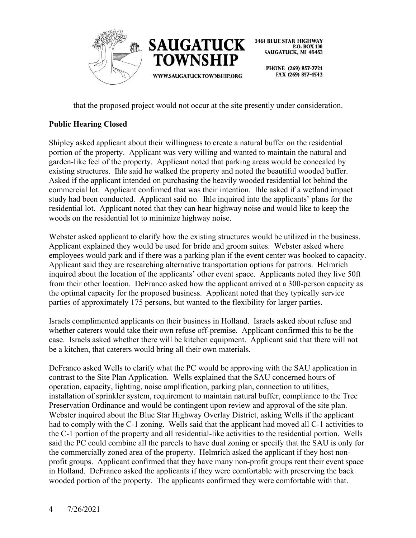

> PHONE (269) 857-7721 FAX (269) 857-4542

that the proposed project would not occur at the site presently under consideration.

# **Public Hearing Closed**

Shipley asked applicant about their willingness to create a natural buffer on the residential portion of the property. Applicant was very willing and wanted to maintain the natural and garden-like feel of the property. Applicant noted that parking areas would be concealed by existing structures. Ihle said he walked the property and noted the beautiful wooded buffer. Asked if the applicant intended on purchasing the heavily wooded residential lot behind the commercial lot. Applicant confirmed that was their intention. Ihle asked if a wetland impact study had been conducted. Applicant said no. Ihle inquired into the applicants' plans for the residential lot. Applicant noted that they can hear highway noise and would like to keep the woods on the residential lot to minimize highway noise.

Webster asked applicant to clarify how the existing structures would be utilized in the business. Applicant explained they would be used for bride and groom suites. Webster asked where employees would park and if there was a parking plan if the event center was booked to capacity. Applicant said they are researching alternative transportation options for patrons. Helmrich inquired about the location of the applicants' other event space. Applicants noted they live 50ft from their other location. DeFranco asked how the applicant arrived at a 300-person capacity as the optimal capacity for the proposed business. Applicant noted that they typically service parties of approximately 175 persons, but wanted to the flexibility for larger parties.

Israels complimented applicants on their business in Holland. Israels asked about refuse and whether caterers would take their own refuse off-premise. Applicant confirmed this to be the case. Israels asked whether there will be kitchen equipment. Applicant said that there will not be a kitchen, that caterers would bring all their own materials.

DeFranco asked Wells to clarify what the PC would be approving with the SAU application in contrast to the Site Plan Application. Wells explained that the SAU concerned hours of operation, capacity, lighting, noise amplification, parking plan, connection to utilities, installation of sprinkler system, requirement to maintain natural buffer, compliance to the Tree Preservation Ordinance and would be contingent upon review and approval of the site plan. Webster inquired about the Blue Star Highway Overlay District, asking Wells if the applicant had to comply with the C-1 zoning. Wells said that the applicant had moved all C-1 activities to the C-1 portion of the property and all residential-like activities to the residential portion. Wells said the PC could combine all the parcels to have dual zoning or specify that the SAU is only for the commercially zoned area of the property. Helmrich asked the applicant if they host nonprofit groups. Applicant confirmed that they have many non-profit groups rent their event space in Holland. DeFranco asked the applicants if they were comfortable with preserving the back wooded portion of the property. The applicants confirmed they were comfortable with that.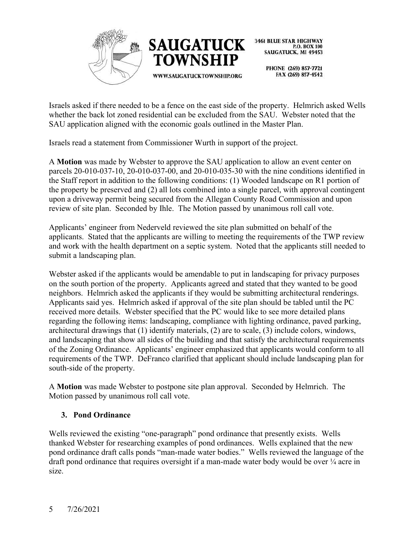



> PHONE (269) 857-7721 FAX (269) 857-4542

Israels asked if there needed to be a fence on the east side of the property. Helmrich asked Wells whether the back lot zoned residential can be excluded from the SAU. Webster noted that the SAU application aligned with the economic goals outlined in the Master Plan.

Israels read a statement from Commissioner Wurth in support of the project.

A **Motion** was made by Webster to approve the SAU application to allow an event center on parcels 20-010-037-10, 20-010-037-00, and 20-010-035-30 with the nine conditions identified in the Staff report in addition to the following conditions: (1) Wooded landscape on R1 portion of the property be preserved and (2) all lots combined into a single parcel, with approval contingent upon a driveway permit being secured from the Allegan County Road Commission and upon review of site plan. Seconded by Ihle. The Motion passed by unanimous roll call vote.

Applicants' engineer from Nederveld reviewed the site plan submitted on behalf of the applicants. Stated that the applicants are willing to meeting the requirements of the TWP review and work with the health department on a septic system. Noted that the applicants still needed to submit a landscaping plan.

Webster asked if the applicants would be amendable to put in landscaping for privacy purposes on the south portion of the property. Applicants agreed and stated that they wanted to be good neighbors. Helmrich asked the applicants if they would be submitting architectural renderings. Applicants said yes. Helmrich asked if approval of the site plan should be tabled until the PC received more details. Webster specified that the PC would like to see more detailed plans regarding the following items: landscaping, compliance with lighting ordinance, paved parking, architectural drawings that (1) identify materials, (2) are to scale, (3) include colors, windows, and landscaping that show all sides of the building and that satisfy the architectural requirements of the Zoning Ordinance. Applicants' engineer emphasized that applicants would conform to all requirements of the TWP. DeFranco clarified that applicant should include landscaping plan for south-side of the property.

A **Motion** was made Webster to postpone site plan approval. Seconded by Helmrich. The Motion passed by unanimous roll call vote.

# **3. Pond Ordinance**

Wells reviewed the existing "one-paragraph" pond ordinance that presently exists. Wells thanked Webster for researching examples of pond ordinances. Wells explained that the new pond ordinance draft calls ponds "man-made water bodies." Wells reviewed the language of the draft pond ordinance that requires oversight if a man-made water body would be over  $\frac{1}{4}$  acre in size.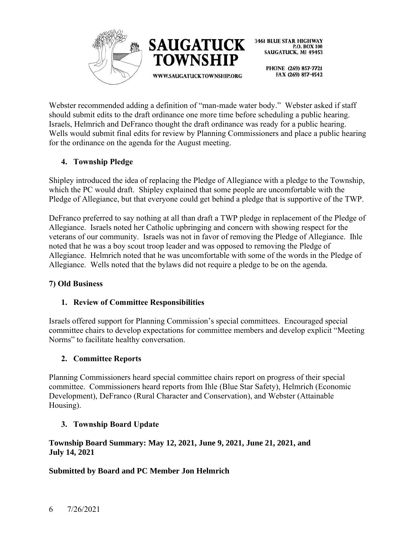



> PHONE (269) 857-7721 FAX (269) 857-4542

Webster recommended adding a definition of "man-made water body." Webster asked if staff should submit edits to the draft ordinance one more time before scheduling a public hearing. Israels, Helmrich and DeFranco thought the draft ordinance was ready for a public hearing. Wells would submit final edits for review by Planning Commissioners and place a public hearing for the ordinance on the agenda for the August meeting.

# **4. Township Pledge**

Shipley introduced the idea of replacing the Pledge of Allegiance with a pledge to the Township, which the PC would draft. Shipley explained that some people are uncomfortable with the Pledge of Allegiance, but that everyone could get behind a pledge that is supportive of the TWP.

DeFranco preferred to say nothing at all than draft a TWP pledge in replacement of the Pledge of Allegiance. Israels noted her Catholic upbringing and concern with showing respect for the veterans of our community. Israels was not in favor of removing the Pledge of Allegiance. Ihle noted that he was a boy scout troop leader and was opposed to removing the Pledge of Allegiance. Helmrich noted that he was uncomfortable with some of the words in the Pledge of Allegiance. Wells noted that the bylaws did not require a pledge to be on the agenda.

# **7) Old Business**

# **1. Review of Committee Responsibilities**

Israels offered support for Planning Commission's special committees. Encouraged special committee chairs to develop expectations for committee members and develop explicit "Meeting Norms" to facilitate healthy conversation.

# **2. Committee Reports**

Planning Commissioners heard special committee chairs report on progress of their special committee. Commissioners heard reports from Ihle (Blue Star Safety), Helmrich (Economic Development), DeFranco (Rural Character and Conservation), and Webster (Attainable Housing).

# **3. Township Board Update**

### **Township Board Summary: May 12, 2021, June 9, 2021, June 21, 2021, and July 14, 2021**

# **Submitted by Board and PC Member Jon Helmrich**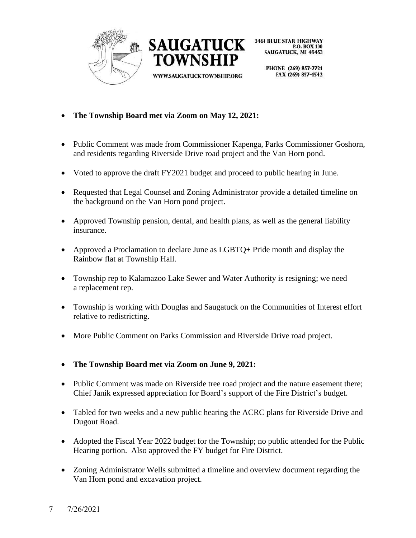



WWW.SAUGATUCKTOWNSHIP.ORG

PHONE (269) 857-7721 FAX (269) 857-4542

- **The Township Board met via Zoom on May 12, 2021:**
- Public Comment was made from Commissioner Kapenga, Parks Commissioner Goshorn, and residents regarding Riverside Drive road project and the Van Horn pond.
- Voted to approve the draft FY2021 budget and proceed to public hearing in June.

TOWNSHIP

- Requested that Legal Counsel and Zoning Administrator provide a detailed timeline on the background on the Van Horn pond project.
- Approved Township pension, dental, and health plans, as well as the general liability insurance.
- Approved a Proclamation to declare June as LGBTQ+ Pride month and display the Rainbow flat at Township Hall.
- Township rep to Kalamazoo Lake Sewer and Water Authority is resigning; we need a replacement rep.
- Township is working with Douglas and Saugatuck on the Communities of Interest effort relative to redistricting.
- More Public Comment on Parks Commission and Riverside Drive road project.
- **The Township Board met via Zoom on June 9, 2021:**
- Public Comment was made on Riverside tree road project and the nature easement there; Chief Janik expressed appreciation for Board's support of the Fire District's budget.
- Tabled for two weeks and a new public hearing the ACRC plans for Riverside Drive and Dugout Road.
- Adopted the Fiscal Year 2022 budget for the Township; no public attended for the Public Hearing portion. Also approved the FY budget for Fire District.
- Zoning Administrator Wells submitted a timeline and overview document regarding the Van Horn pond and excavation project.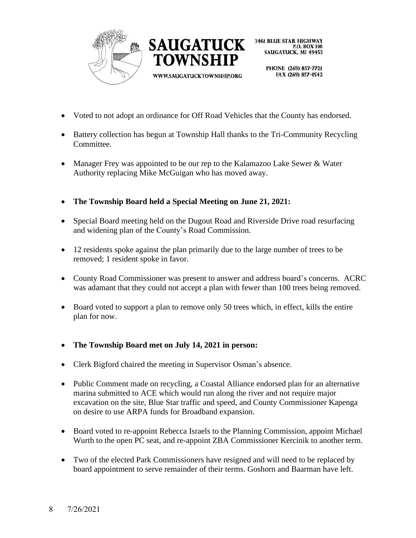



> PHONE (269) 857-7721 FAX (269) 857-4542

- Voted to not adopt an ordinance for Off Road Vehicles that the County has endorsed.
- Battery collection has begun at Township Hall thanks to the Tri-Community Recycling Committee.
- Manager Frey was appointed to be our rep to the Kalamazoo Lake Sewer & Water Authority replacing Mike McGuigan who has moved away.
- **The Township Board held a Special Meeting on June 21, 2021:**
- Special Board meeting held on the Dugout Road and Riverside Drive road resurfacing and widening plan of the County's Road Commission.
- 12 residents spoke against the plan primarily due to the large number of trees to be removed; 1 resident spoke in favor.
- County Road Commissioner was present to answer and address board's concerns. ACRC was adamant that they could not accept a plan with fewer than 100 trees being removed.
- Board voted to support a plan to remove only 50 trees which, in effect, kills the entire plan for now.
- **The Township Board met on July 14, 2021 in person:**
- Clerk Bigford chaired the meeting in Supervisor Osman's absence.
- Public Comment made on recycling, a Coastal Alliance endorsed plan for an alternative marina submitted to ACE which would run along the river and not require major excavation on the site, Blue Star traffic and speed, and County Commissioner Kapenga on desire to use ARPA funds for Broadband expansion.
- Board voted to re-appoint Rebecca Israels to the Planning Commission, appoint Michael Wurth to the open PC seat, and re-appoint ZBA Commissioner Kercinik to another term.
- Two of the elected Park Commissioners have resigned and will need to be replaced by board appointment to serve remainder of their terms. Goshorn and Baarman have left.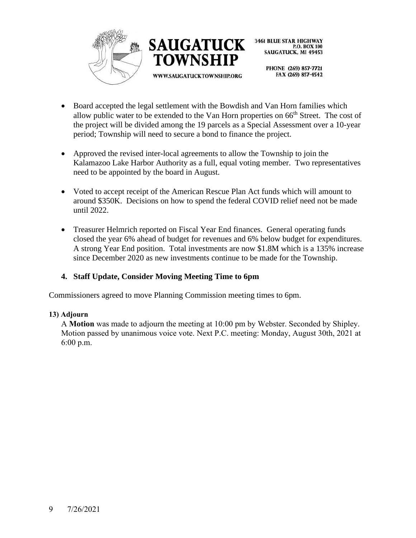



> PHONE (269) 857-7721 FAX (269) 857-4542

- Board accepted the legal settlement with the Bowdish and Van Horn families which allow public water to be extended to the Van Horn properties on 66<sup>th</sup> Street. The cost of the project will be divided among the 19 parcels as a Special Assessment over a 10-year period; Township will need to secure a bond to finance the project.
- Approved the revised inter-local agreements to allow the Township to join the Kalamazoo Lake Harbor Authority as a full, equal voting member. Two representatives need to be appointed by the board in August.
- Voted to accept receipt of the American Rescue Plan Act funds which will amount to around \$350K. Decisions on how to spend the federal COVID relief need not be made until 2022.
- Treasurer Helmrich reported on Fiscal Year End finances. General operating funds closed the year 6% ahead of budget for revenues and 6% below budget for expenditures. A strong Year End position. Total investments are now \$1.8M which is a 135% increase since December 2020 as new investments continue to be made for the Township.

# **4. Staff Update, Consider Moving Meeting Time to 6pm**

Commissioners agreed to move Planning Commission meeting times to 6pm.

# **13) Adjourn**

A **Motion** was made to adjourn the meeting at 10:00 pm by Webster. Seconded by Shipley. Motion passed by unanimous voice vote. Next P.C. meeting: Monday, August 30th, 2021 at 6:00 p.m.